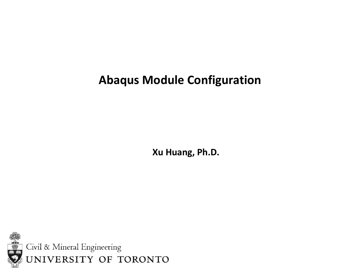### **Abaqus Module Configuration**

**Xu Huang, Ph.D.**

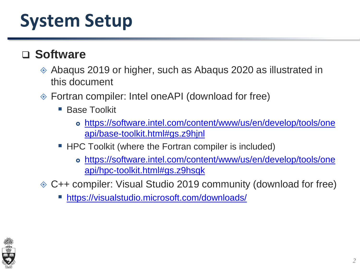### ❑ **Software**

- Abaqus 2019 or higher, such as Abaqus 2020 as illustrated in this document
- Fortran compiler: Intel oneAPI (download for free)
	- Base Toolkit
		- [https://software.intel.com/content/www/us/en/develop/tools/one](https://software.intel.com/content/www/us/en/develop/tools/oneapi/base-toolkit.html#gs.z9hjnl) api/base-toolkit.html#gs.z9hjnl
	- HPC Toolkit (where the Fortran compiler is included)
		- [https://software.intel.com/content/www/us/en/develop/tools/one](https://software.intel.com/content/www/us/en/develop/tools/oneapi/hpc-toolkit.html#gs.z9hsqk) api/hpc-toolkit.html#gs.z9hsqk
- C++ compiler: Visual Studio 2019 community (download for free)
	- <https://visualstudio.microsoft.com/downloads/>

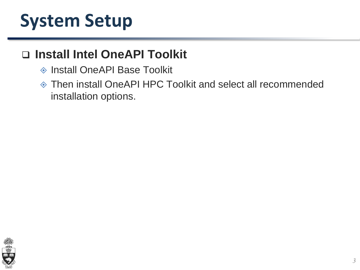### ❑ **Install Intel OneAPI Toolkit**

- ◆ Install OneAPI Base Toolkit
- Then install OneAPI HPC Toolkit and select all recommended installation options.

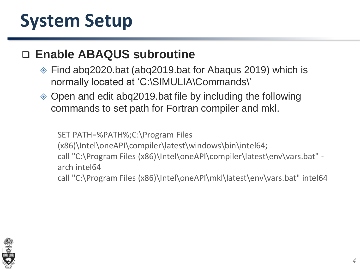#### ❑ **Enable ABAQUS subroutine**

- Find abq2020.bat (abq2019.bat for Abaqus 2019) which is normally located at 'C:\SIMULIA\Commands\'
- Open and edit abq2019.bat file by including the following commands to set path for Fortran compiler and mkl.

SET PATH=%PATH%;C:\Program Files (x86)\Intel\oneAPI\compiler\latest\windows\bin\intel64; call "C:\Program Files (x86)\Intel\oneAPI\compiler\latest\env\vars.bat" arch intel64 call "C:\Program Files (x86)\Intel\oneAPI\mkl\latest\env\vars.bat" intel64

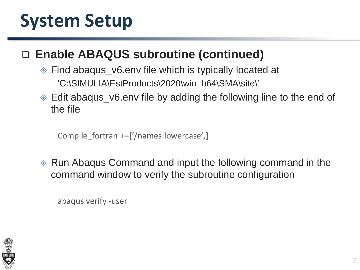### ❑ **Enable ABAQUS subroutine (continued)**

- Find abaqus\_v6.env file which is typically located at 'C:\SIMULIA\EstProducts\2020\win\_b64\SMA\site\'
- Edit abaqus\_v6.env file by adding the following line to the end of the file

Compile fortran +=['/names:lowercase',]

◈ Run Abaqus Command and input the following command in the command window to verify the subroutine configuration

abaqus verify -user